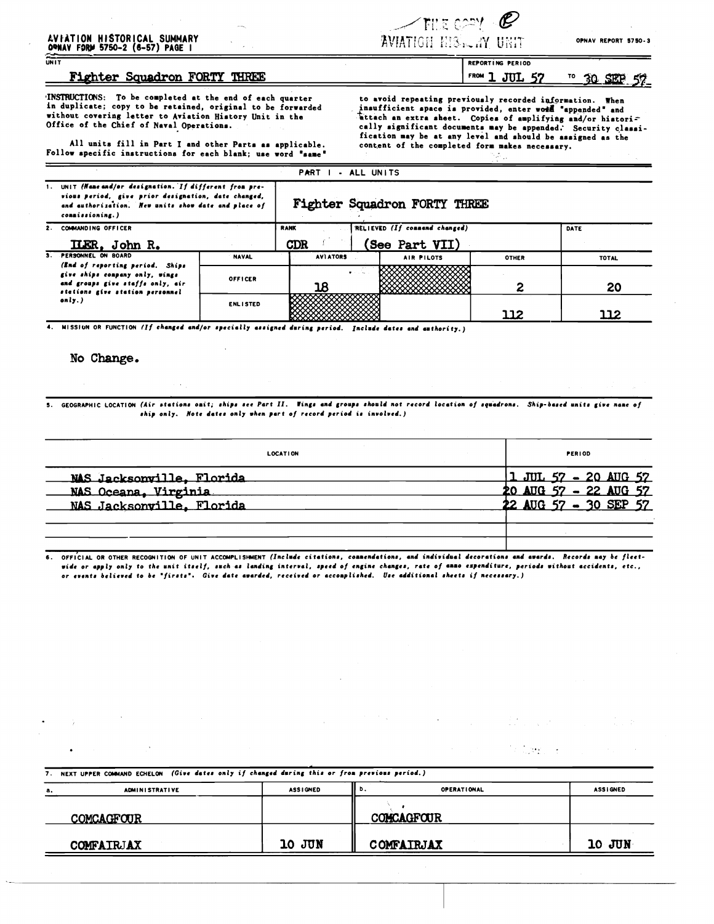## AVFATION HISTORICAL SUMMARY<br>OWNAV FORM 5750-2 (6-57) PAGE I  $\frac{1}{\sqrt{N+1}}$

## Fighter Squadron FORTY THREE

INSTRUCTIONS: To be completed at the end of each quarter in duplicate; copy to be retained, original to be forwarded without covering letter to Aviation History Unit in the Office of the Chief of Naval Operations.

All units fill in Part I and other Parts as applicable. Follow specific instructions for each blank; use word "same"

1. UNIT (Nane and/or designation. If different from pre-

to avoid repeating previously recorded information. When<br>insufficient space is provided, enter word "appended" and<br>attach an extra sheet. Copies of amplifying and/or histori-<br>cally significant documents may be appended. Se fication may be at any level and should be assigned as the content of the completed form makes necessary.

REPORTING PERIOD

|  | vious perioa, give prior aesignation, aate changea,<br>and euthorization. New units show date and place of<br>commissioning.)                      |                 | Fighter Squadron FORTY THREE |                               |              |              |  |  |
|--|----------------------------------------------------------------------------------------------------------------------------------------------------|-----------------|------------------------------|-------------------------------|--------------|--------------|--|--|
|  | COMMANDING OFFICER                                                                                                                                 |                 | <b>RANK</b>                  | RELIEVED (If commend changed) |              | DATE         |  |  |
|  | ILER, John R.                                                                                                                                      |                 | <b>CDR</b>                   | (See Part VII)                |              |              |  |  |
|  | <b>PERSONNEL ON BOARD</b>                                                                                                                          | <b>NAVAL</b>    | <b>AVIATORS</b>              | <b>AIR PILOTS</b>             | <b>OTHER</b> | <b>TOTAL</b> |  |  |
|  | (End of reporting period. Ships<br>give ships company only, wings<br>and groups give staffs only, air<br>stations give station personnel<br>only.) | OFFICER         |                              |                               |              | 20           |  |  |
|  |                                                                                                                                                    | <b>ENLISTED</b> |                              |                               | 112          |              |  |  |

PART I - ALL UNITS

MISSIUN OR FUNCTION (If changed and/or specially assigned during period. Include dates and authority.)

#### No Change.

GEOGRAPHIC LOCATION (Air stations onit; ships see Part II. Wings and groups should not record location of squadrons. Ship-based units give nane of  $\mathbf{s}$ . ship only. Note dates only when part of record period is involved.)

| <b>LOCATION</b>           |  | <b>PERIOD</b>             |  |  |  |  |  |
|---------------------------|--|---------------------------|--|--|--|--|--|
| NAS Jacksonville, Florida |  | 1 JUL 57 - 20 AUG 57      |  |  |  |  |  |
| NAS Oceana, Virginia      |  | $20$ AUG 57 - 22 AUG 57   |  |  |  |  |  |
| NAS Jacksonville, Florida |  | 22 AUG $57 - 30$ SEP $57$ |  |  |  |  |  |
|                           |  |                           |  |  |  |  |  |
|                           |  |                           |  |  |  |  |  |

OFFICIAL OR OTHER RECOGNITION OF UNIT ACCOMPLISHMENT (Include citations, connendations, and individual decorations and awards. Records may be fleet- $\ddot{\mathbf{s}}$ . wide or apply only to the unit itself, such as landing interval, speed of engine changes, rate of anno expenditure, periods without accidents, etc., or events believed to be "firsts". Give date awarded, received or accomplished. Use additional sheets if necessary.)

NEXT UPPER COMMAND ECHELON (Give dates only if changed daring this or from previous period.)  $7.$ Ъ. **OPERATIONAL ASSIGNED** ADMINISTRATIVE **ASSIGNED** a, **COMCAGFOUR** COMCAGFOUR 10 JUN 10 JUN COMFAIRJAX COMFAIRJAX

 $\angle$ FIE CAY  $\mathscr C$ **AVIATION E13 ... AY URIT** 

OPNAV REPORT 5750-3

#### FROM 1 JUL 57 <sup>TO</sup> 30 SEP 57

 $\sim 10^{-10}$ 

 $\sim 22.1$  .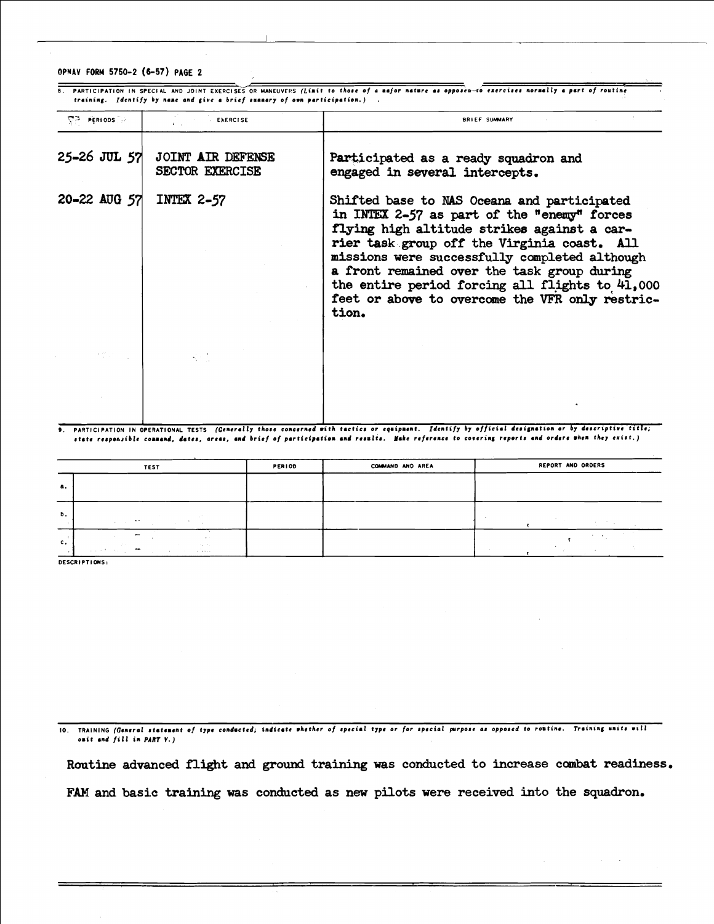#### OPNAV FORM 5750-2 (6-57) PAGE 2

8. PARTICIPATION IN SPECIAL AND JOINT EXERCISES OR MANEUVERS (Limit to those of a major nature as opposed-to exercises normally a part of routine training. Identify by name and give a brief summary of own participation.).

| <b>CP PERIODS</b>  | <b>EXERCISE</b>                             | <b>BRIEF SUMMARY</b>                                                                                                                                                                                                                                                                                                                                                                                    |
|--------------------|---------------------------------------------|---------------------------------------------------------------------------------------------------------------------------------------------------------------------------------------------------------------------------------------------------------------------------------------------------------------------------------------------------------------------------------------------------------|
| $25 - 26$ JUL $57$ | JOINT AIR DEFENSE<br><b>SECTOR EXERCISE</b> | Participated as a ready squadron and<br>engaged in several intercepts.                                                                                                                                                                                                                                                                                                                                  |
| 20-22 AUG 57       | INTEX $2-57$                                | Shifted base to NAS Oceana and participated<br>in INTEX 2-57 as part of the "enemy" forces<br>flying high altitude strikes against a car-<br>rier task group off the Virginia coast. All<br>missions were successfully completed although<br>a front remained over the task group during<br>the entire period forcing all flights to 41,000<br>feet or above to overcome the VFR only restric-<br>tion. |
|                    |                                             |                                                                                                                                                                                                                                                                                                                                                                                                         |
|                    |                                             |                                                                                                                                                                                                                                                                                                                                                                                                         |

9. PARTICIPATION IN OPERATIONAL TESTS (Generally those concerned with tactics or equipment. Identify by official designation or by descriptive title; state responsible command, dates, areas, and brief of participation and results. Nake reference to covering reports and ordere when they exist.)

|             | <b>TEST</b>                                                                                          | <b>PERIOD</b> | COMMAND AND AREA | REPORT AND ORDERS |  |  |
|-------------|------------------------------------------------------------------------------------------------------|---------------|------------------|-------------------|--|--|
| а.          |                                                                                                      |               |                  |                   |  |  |
| b.          | and the control of<br><b>Contract Contract</b>                                                       |               |                  | . н.              |  |  |
| $c_{\star}$ | -<br><b>Contract</b><br>Charles Co.<br>$\overline{\phantom{a}}$<br>sales of the common<br>A. A. Rock |               |                  | $\sim$            |  |  |

DESCRIPTIONS:

10. TRAINING (General statement of type conducted; indicate whether of special type or for special purpose as opposed to romtine. Training units will omit and fill in PART V.)

Routine advanced flight and ground training was conducted to increase combat readiness. FAM and basic training was conducted as new pilots were received into the squadron.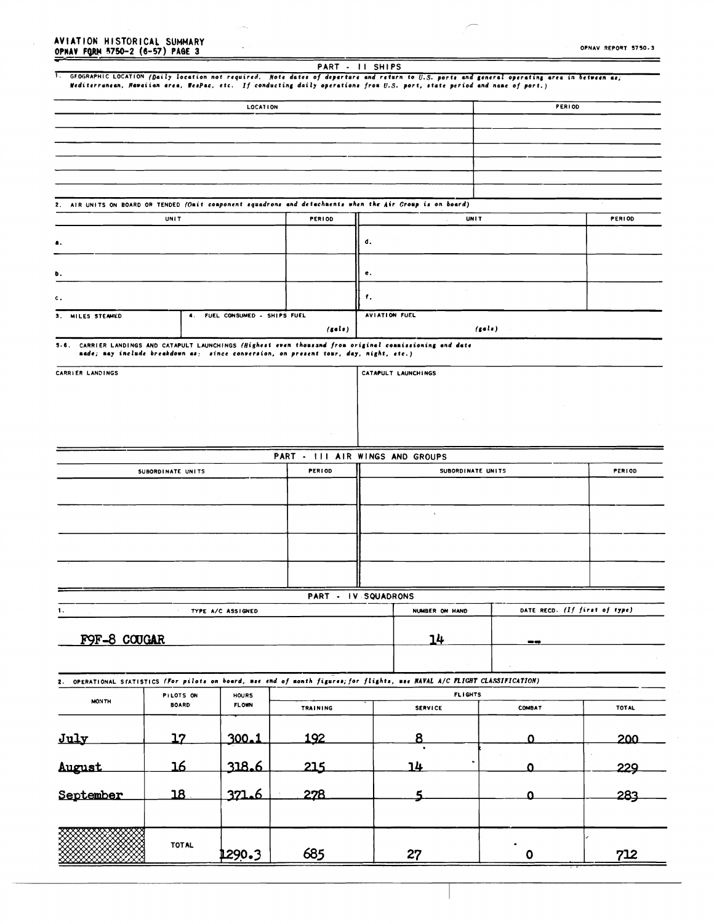# AVEATION HISTORICAL SUMMARY<br>OPNAV FORM 5750-2 (6-57) PAGE 3

 $\ddot{\phantom{a}}$ 

|                     |                   |                               |                                                                                      | PART - II SHIPS                                                                                                                                                                                                                                                              |               |                               |
|---------------------|-------------------|-------------------------------|--------------------------------------------------------------------------------------|------------------------------------------------------------------------------------------------------------------------------------------------------------------------------------------------------------------------------------------------------------------------------|---------------|-------------------------------|
|                     |                   |                               |                                                                                      | 1. GEOGRAPHIC LOCATION (Daily location not required. Note dates of departure and return to U.S. ports and general operating area in between as;<br>Mediterrunean, Hawaiian area, WesPac, etc. If conducting daily operations from U.S. port, state period and name of port.) |               |                               |
|                     |                   |                               |                                                                                      |                                                                                                                                                                                                                                                                              |               |                               |
|                     |                   | LOCATION                      |                                                                                      |                                                                                                                                                                                                                                                                              | <b>PERIOD</b> |                               |
|                     |                   |                               |                                                                                      |                                                                                                                                                                                                                                                                              |               |                               |
|                     |                   |                               |                                                                                      |                                                                                                                                                                                                                                                                              |               |                               |
|                     |                   |                               |                                                                                      |                                                                                                                                                                                                                                                                              |               |                               |
|                     |                   |                               |                                                                                      |                                                                                                                                                                                                                                                                              |               |                               |
|                     |                   |                               |                                                                                      |                                                                                                                                                                                                                                                                              |               |                               |
|                     |                   |                               |                                                                                      |                                                                                                                                                                                                                                                                              |               |                               |
|                     |                   |                               |                                                                                      | 2. AIR UNITS ON BOARD OR TENDED (Onit conponent squadrons and detachnents when the Air Croup is on board)                                                                                                                                                                    |               |                               |
|                     | <b>UNIT</b>       |                               | PERIOD                                                                               |                                                                                                                                                                                                                                                                              | <b>UNIT</b>   | PERIOD                        |
|                     |                   |                               |                                                                                      |                                                                                                                                                                                                                                                                              |               |                               |
| а.                  |                   |                               |                                                                                      | d.                                                                                                                                                                                                                                                                           |               |                               |
|                     |                   |                               |                                                                                      |                                                                                                                                                                                                                                                                              |               |                               |
| b.                  |                   |                               |                                                                                      | е.                                                                                                                                                                                                                                                                           |               |                               |
|                     |                   |                               |                                                                                      |                                                                                                                                                                                                                                                                              |               |                               |
| с.                  |                   |                               |                                                                                      | f.                                                                                                                                                                                                                                                                           |               |                               |
| MILES STEAMED<br>3. |                   | 4. FUEL CONSUMED - SHIPS FUEL |                                                                                      | <b>AVIATION FUEL</b>                                                                                                                                                                                                                                                         |               |                               |
|                     |                   |                               | (sels)                                                                               |                                                                                                                                                                                                                                                                              | (sels)        |                               |
|                     |                   |                               |                                                                                      | 5.6. CARRIER LANDINGS AND CATAPULT LAUNCHINGS (Highest even thousand from original commissioning and date                                                                                                                                                                    |               |                               |
|                     |                   |                               | made; may include breakdown as: since conversion, on present tour, day, night, etc.) |                                                                                                                                                                                                                                                                              |               |                               |
| CARRIER LANDINGS    |                   |                               |                                                                                      | CATAPULT LAUNCHINGS                                                                                                                                                                                                                                                          |               |                               |
|                     |                   |                               |                                                                                      |                                                                                                                                                                                                                                                                              |               |                               |
|                     |                   |                               |                                                                                      |                                                                                                                                                                                                                                                                              |               |                               |
|                     |                   |                               |                                                                                      |                                                                                                                                                                                                                                                                              |               |                               |
|                     |                   |                               |                                                                                      |                                                                                                                                                                                                                                                                              |               |                               |
|                     |                   |                               |                                                                                      |                                                                                                                                                                                                                                                                              |               |                               |
|                     |                   |                               |                                                                                      | PART - III AIR WINGS AND GROUPS                                                                                                                                                                                                                                              |               |                               |
|                     | SUBORDINATE UNITS |                               | PERIOD                                                                               | SUBORDINATE UNITS                                                                                                                                                                                                                                                            |               | PERIOD                        |
|                     |                   |                               |                                                                                      |                                                                                                                                                                                                                                                                              |               |                               |
|                     |                   |                               |                                                                                      |                                                                                                                                                                                                                                                                              |               |                               |
|                     |                   |                               |                                                                                      |                                                                                                                                                                                                                                                                              |               |                               |
|                     |                   |                               |                                                                                      |                                                                                                                                                                                                                                                                              |               |                               |
|                     |                   |                               |                                                                                      |                                                                                                                                                                                                                                                                              |               |                               |
|                     |                   |                               |                                                                                      |                                                                                                                                                                                                                                                                              |               |                               |
|                     |                   |                               |                                                                                      |                                                                                                                                                                                                                                                                              |               |                               |
|                     |                   |                               |                                                                                      |                                                                                                                                                                                                                                                                              |               |                               |
|                     |                   |                               |                                                                                      |                                                                                                                                                                                                                                                                              |               |                               |
|                     |                   |                               |                                                                                      | PART - IV SQUADRONS                                                                                                                                                                                                                                                          |               |                               |
| 1.                  |                   | TYPE A/C ASSIGNED             |                                                                                      | NUMBER ON HAND                                                                                                                                                                                                                                                               |               | DATE RECD. (If first of type) |
|                     |                   |                               |                                                                                      |                                                                                                                                                                                                                                                                              |               |                               |
| FOF-8 COUGAR        |                   |                               |                                                                                      | <u>14</u>                                                                                                                                                                                                                                                                    | $-2$          |                               |
|                     |                   |                               |                                                                                      |                                                                                                                                                                                                                                                                              |               |                               |
|                     |                   |                               |                                                                                      |                                                                                                                                                                                                                                                                              |               |                               |
|                     |                   |                               |                                                                                      | 2. OPERATIONAL STATISTICS (For pilots on board, use end of month figures; for flights, use NAVAL A/C PLIGHT CLASSIFICATION)                                                                                                                                                  |               |                               |
| <b>MONTH</b>        | PILOTS ON         | <b>HOURS</b>                  |                                                                                      | <b>FLIGHTS</b>                                                                                                                                                                                                                                                               |               |                               |
|                     | <b>BOARD</b>      | <b>FLOWN</b>                  | TRAINING                                                                             | <b>SERVICE</b>                                                                                                                                                                                                                                                               | <b>COMBAT</b> | <b>TOTAL</b>                  |
|                     |                   |                               |                                                                                      |                                                                                                                                                                                                                                                                              |               |                               |
| July                | <u>17</u>         | <u>300.1</u>                  | <u> 192</u>                                                                          | 8                                                                                                                                                                                                                                                                            | Ω             | 200                           |
|                     |                   |                               |                                                                                      |                                                                                                                                                                                                                                                                              |               |                               |
| August              | <u> 16</u>        |                               | 215                                                                                  | 14                                                                                                                                                                                                                                                                           | O             | 229                           |
|                     |                   |                               |                                                                                      |                                                                                                                                                                                                                                                                              |               |                               |
| September           | 18                | 371.6                         | 278                                                                                  | 5                                                                                                                                                                                                                                                                            | ი             | 283                           |
|                     |                   |                               |                                                                                      |                                                                                                                                                                                                                                                                              |               |                               |
|                     |                   |                               |                                                                                      |                                                                                                                                                                                                                                                                              |               |                               |
|                     |                   |                               |                                                                                      |                                                                                                                                                                                                                                                                              |               |                               |
|                     | TOTAL             |                               |                                                                                      |                                                                                                                                                                                                                                                                              |               |                               |
|                     |                   | 1290.3                        | 685                                                                                  | 27                                                                                                                                                                                                                                                                           | $\mathbf 0$   | 712                           |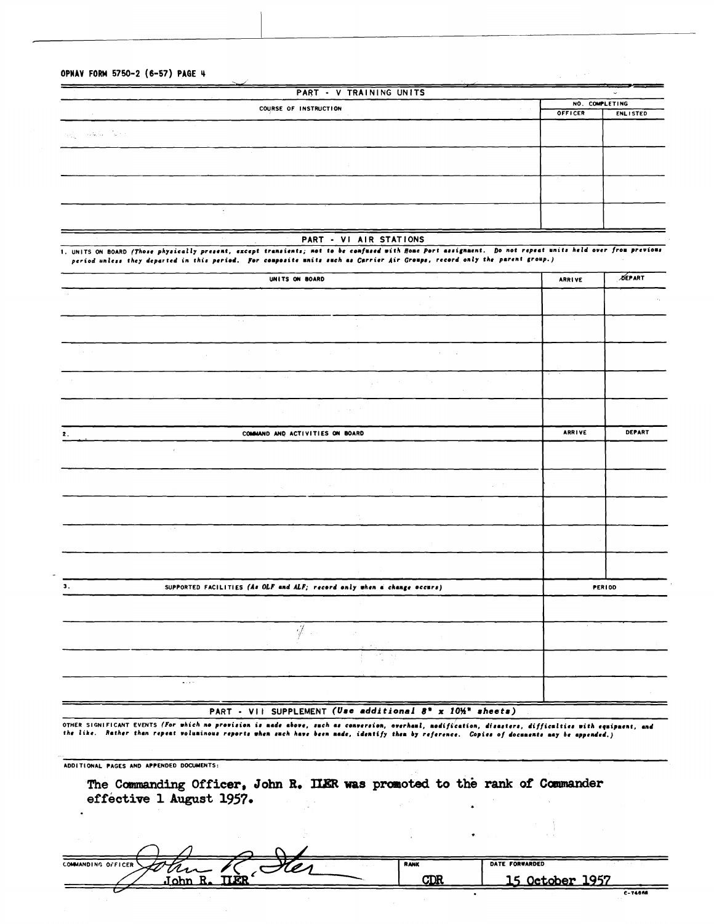OPNAV FORM 5750-2 (6-57) PAGE 4

 $\sim$   $\times$ 

| PART - V TRAINING UNITS                                                                                                                          | $\checkmark$   |                 |  |
|--------------------------------------------------------------------------------------------------------------------------------------------------|----------------|-----------------|--|
| COURSE OF INSTRUCTION                                                                                                                            | NO. COMPLETING |                 |  |
| the control<br>OFFICER                                                                                                                           |                | <b>ENLISTED</b> |  |
| $\langle \phi_{\mathcal{G}} \rangle = \langle \phi \rangle \mathcal{G}, \mathcal{G}_{\mathcal{G}} \in \langle \phi \rangle \langle \phi \rangle$ |                |                 |  |
|                                                                                                                                                  |                |                 |  |
|                                                                                                                                                  |                |                 |  |
|                                                                                                                                                  |                |                 |  |

المستحيل والمحالة

#### PART - VI AIR STATIONS

1. UNITS ON BOARD (Those physically present, except transients; not to be confused with Home Port assignment. Do not repeat units held over from previous period unless they departed in this period. For composite units such as Carrier Air Groups, record only the parent group.)

| UNITS ON BOARD                                                                | <b>ARRIVE</b> | <b>DEPART</b> |
|-------------------------------------------------------------------------------|---------------|---------------|
|                                                                               |               |               |
| Arrest Made<br>$\alpha$ $\alpha$                                              | $\sim$        |               |
| $\mathbf{v}$                                                                  |               |               |
| $\sim$                                                                        |               |               |
|                                                                               |               |               |
| $\sim$<br>$\sim$<br>$\sim 10^{-1}$<br>$\sim$ 10 $\mu$                         |               |               |
|                                                                               |               |               |
| COMMAND AND ACTIVITIES ON BOARD<br>2.                                         | <b>ARRIVE</b> | <b>DEPART</b> |
| $\bar{J}$                                                                     |               |               |
|                                                                               |               |               |
|                                                                               |               |               |
| $\mathcal{V}_{\mathcal{A}}$                                                   |               |               |
| $\sim$ $\sim$                                                                 |               |               |
|                                                                               |               |               |
|                                                                               |               |               |
| SUPPORTED FACILITIES (As OLF and ALF; record only when a change occurs)<br>3. | PERIOD        |               |
|                                                                               |               |               |
| -Ÿ<br>$\sim 10^{-1}$<br>$\mathcal{A}$                                         | $\mathbf{v}$  |               |
| $\sim 60$ , $\sim 10$                                                         |               |               |
| $\mathbf{A} \in \mathcal{A}(\mathcal{H})$                                     |               |               |
|                                                                               |               |               |

PART - VII SUPPLEMENT (Use additional 8" x 10%" sheets)

OTHER SIGNIFICANT EVENTS (For which no provision is nade above, such as conversion, overhaul, nodification, disasters, difficulties with equipnent, and<br>the like. Rather than repeat voluninous reports when such have been na

ADDITIONAL PAGES AND APPENDED DOCUMENTS:

The Commanding Officer, John R. ILER was promoted to the rank of Commander effective 1 August 1957.

|                    |                            |                |                    | . .            |                 |                 |
|--------------------|----------------------------|----------------|--------------------|----------------|-----------------|-----------------|
| COMMANDING OFFICER | $\frac{2U}{\text{John R}}$ | ' <i>0   1</i> | <b>RANK</b><br>CDR | DATE FORWARDED | 15 October 1957 | <b>ALCOHOL:</b> |
|                    |                            |                |                    |                |                 | C-74668         |

 $\bullet$  .  $\Box$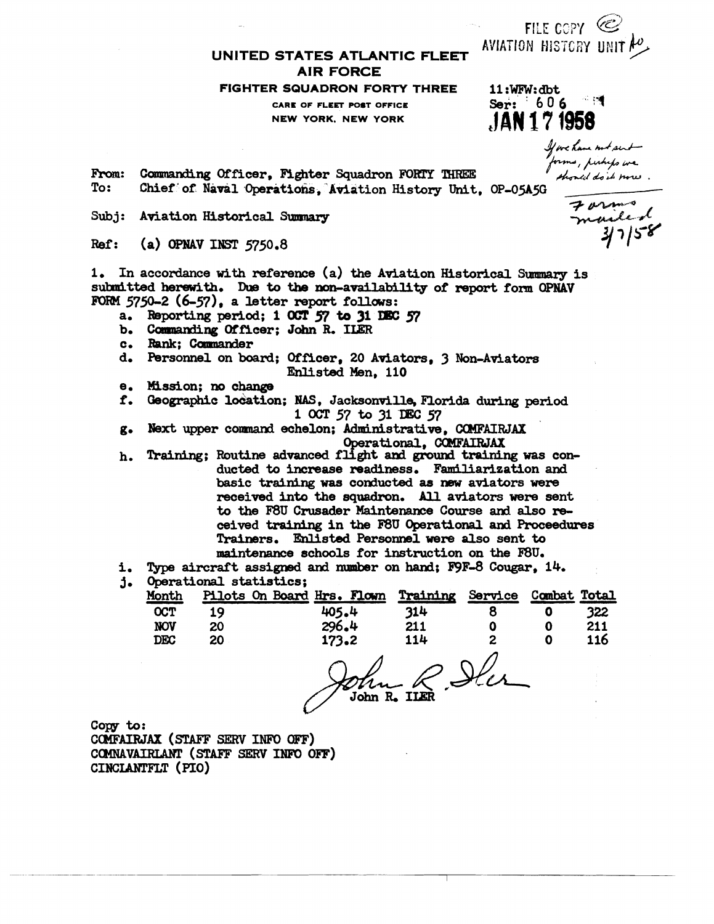UNITED STATES ATLANTIC FLEET **AIR FORCE** 

### FIGHTER SQUADRON FORTY THREE

CARE OF FLEET POST OFFICE **NEW YORK, NEW YORK** 

JAN 17 1958

FILE COPY  $\circledcirc$ AVIATION HISTORY UNIT AO

 $11:$ WFW:dbt

Ser: 606 4

NEW YORR, NEW ......<br>
Commanding Officer, Fighter Squadron FORTY THREE<br>
Chief of Naval Operations, Aviation History Unit, OP-05A5G<br>
Aviation Historical Summary<br>
Aviation Historical Summary<br>
Aviation Historical Summary<br>
Avi From: To:

 $Subi:$ 

 $Ref:$  $(a)$  OPNAV INST 5750.8

1. In accordance with reference (a) the Aviation Historical Summary is submitted herewith. Due to the non-availability of report form OPNAV FORM  $5750-2$  (6-57), a letter report follows:

- a. Reporting period; 1 00T 57 to 31 DEC 57
- b. Commanding Officer; John R. ILER
- c. Rank: Commander
- d. Personnel on board; Officer, 20 Aviators, 3 Non-Aviators Enlisted Men. 110
- e. Mission; no change
- Geographic location; NAS, Jacksonville, Florida during period f. 1 OCT 57 to 31 DEC 57
- Next upper command echelon; Administrative, COMFAIRJAX  $\alpha$ . Operational, COMFAIRJAX
- Training; Routine advanced flight and ground training was conh. ducted to increase readiness. Familiarization and basic training was conducted as new aviators were received into the squadron. All aviators were sent to the F8U Crusader Maintenance Course and also received training in the F8U Operational and Proceedures Trainers. Enlisted Personnel were also sent to maintenance schools for instruction on the F8U.
- i. Type aircraft assigned and number on hand; F9F-8 Cougar, 14.
- j. Operational statistics;

| Month      |     | Pilots On Board Hrs. Flown | Training | Service | Combat Total |     |
|------------|-----|----------------------------|----------|---------|--------------|-----|
| <b>OCT</b> | 1 Q | 405.4                      | 314      |         |              | 322 |
| <b>NOV</b> | 20  | 296.4                      | 211      |         |              | 211 |
| DEC        | 20  | 173.2                      | 114      | m       |              | 116 |

John R. III. Iles

Copy to: COMFAIRJAX (STAFF SERV INFO OFF) COMNAVAIRLANT (STAFF SERV INFO OFF) CINCLANTFLT (PIO)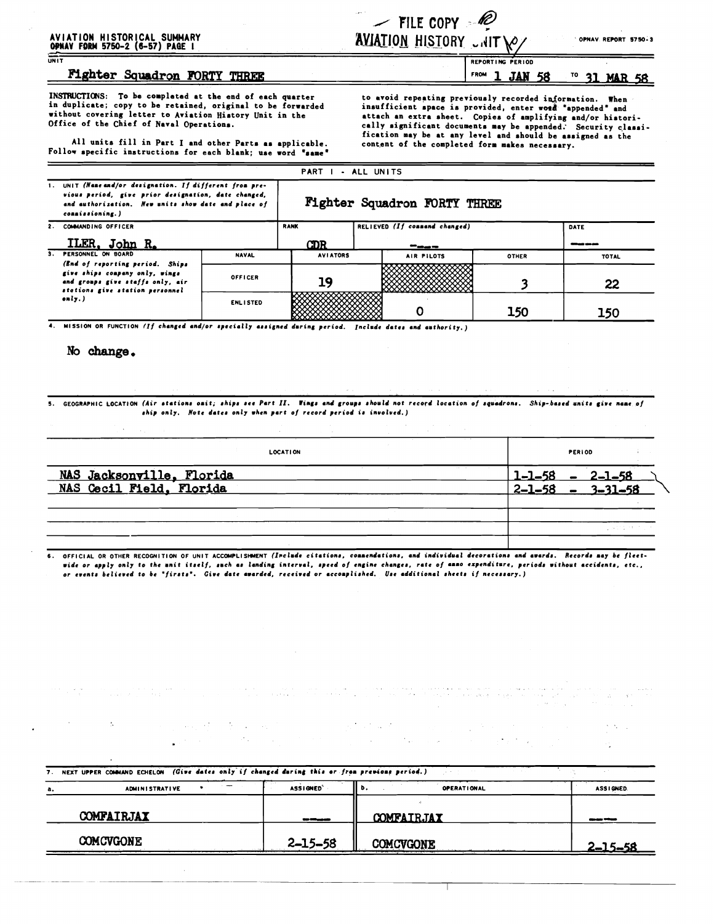## AVIATION HISTORICAL SUMMARY<br>OPNAV FORM 5750-2 (6-57) PAGE I

| والمحادث                      |  | $\angle$ FILE COPY $\mathscr{P}$ |
|-------------------------------|--|----------------------------------|
| <b>AVIATION HISTORY CNITY</b> |  |                                  |

' OPNAV. REPORT 5750-3

 $\lambda = \lambda_1$ 

<u>2–15–58</u>

### Fighter Squadron FORTY THREE

INSTRUCTIONS: To be completed at the end of each quarter<br>in duplicate; copy to be retained, original to be forwarded without covering letter to Aviation History Unit in the Office of the Chief of Naval Operations.

All units fill in Part I and other Parts as applicable. Follow specific instructions for each blank; use word "same"

to avoid repeating previously recorded information. When insufficient space is provided, enter word "appended" and attach an extra sheet. Copies of amplifying and/or historically significant documents may be appended. Security classification may be at any level and should be assigned as the content of the completed form makes necessary.

PERIOD

**REPORT ING** 

-1

FROM

|                                                                                                                                                                                                                           | PART I - ALL UNITS                                                                                                                       |                 |                 |                               |              |              |  |  |  |
|---------------------------------------------------------------------------------------------------------------------------------------------------------------------------------------------------------------------------|------------------------------------------------------------------------------------------------------------------------------------------|-----------------|-----------------|-------------------------------|--------------|--------------|--|--|--|
| 1. UNIT (Name and/or designation. If different from pre-<br>vious period, give prior designation, date changed,<br>Fighter Squadron FORTY THREE<br>and authorization. New units show date and place of<br>commissioning.) |                                                                                                                                          |                 |                 |                               |              |              |  |  |  |
|                                                                                                                                                                                                                           | 2. COMMANDING OFFICER                                                                                                                    |                 | <b>RANK</b>     | RELIEVED (If connend changed) |              | DATE         |  |  |  |
|                                                                                                                                                                                                                           | ILER, John R.                                                                                                                            |                 | CDR.            | ----                          |              | ----         |  |  |  |
|                                                                                                                                                                                                                           | 3. PERSONNEL ON BOARD                                                                                                                    | <b>NAVAL</b>    | <b>AVIATORS</b> | AIR PILOTS                    | <b>OTHER</b> | <b>TOTAL</b> |  |  |  |
|                                                                                                                                                                                                                           | (End of reporting period. Ships<br>give ships company only, wings<br>and groups give staffs only, air<br>stations give station personnel | <b>OFFICER</b>  | 19              |                               |              | 22           |  |  |  |
|                                                                                                                                                                                                                           | only.)                                                                                                                                   | <b>ENLISTED</b> |                 |                               | 150          | 150          |  |  |  |

4. MISSION OR FUNCTION (If changed and/or specially assigned during period. Include dates and authority.)

 $\label{eq:1} \left\langle \rho_{\rm{max}} \right\rangle = \left\langle \rho_{\rm{max}} \right\rangle = \left\langle \rho_{\rm{max}} \right\rangle = \left\langle \rho_{\rm{max}} \right\rangle$ 

No change.

5. GEOGRAPHIC LOCATION (Air stations onit; ships see Part II. Vings and groups should not record location of squadrons. Ship-based units give name of ship only. Note dates only when part of record period is involved.)

| <b>LOCATION</b>                                              | PERIOD                                                |
|--------------------------------------------------------------|-------------------------------------------------------|
| <b>Contract Contract Contract</b>                            |                                                       |
| <b>NAS Jacksonville, Florida</b><br>NAS Gecil Field, Florida | $1-1-58 - 2-1-58$<br>2-1-58 - 3-31-58<br>$2 - 1 - 58$ |
|                                                              |                                                       |
|                                                              |                                                       |
|                                                              | しゃくり けいさい                                             |

6. OFFICIAL OR OTHER RECOGNITION OF UNIT ACCOMPLISHMENT (Include citations, connendations, and individual decorations and awards. Records may be fleetwide or apply only to the unit itself, such as landing interval, speed of engine changes, rate of anno expenditure, periods without accidents, etc., or events believed to be "firsts". Give date awarded, received or accomplished. Use additional sheets if necessary.)

7. NEXT UPPER COMMAND ECHELON (Give dates only if changed during this or from previous period.) **ADMINISTRATIVE** ASSIGNED' b, **OPERATIONAL** ASSIGNED. a, COMFAIRJAX **COMFAIRJAY** 

**COMCVGONE** 2-15-58 COMCVGONE

<sup>TO</sup> 31 MAR 58 **JAN 58**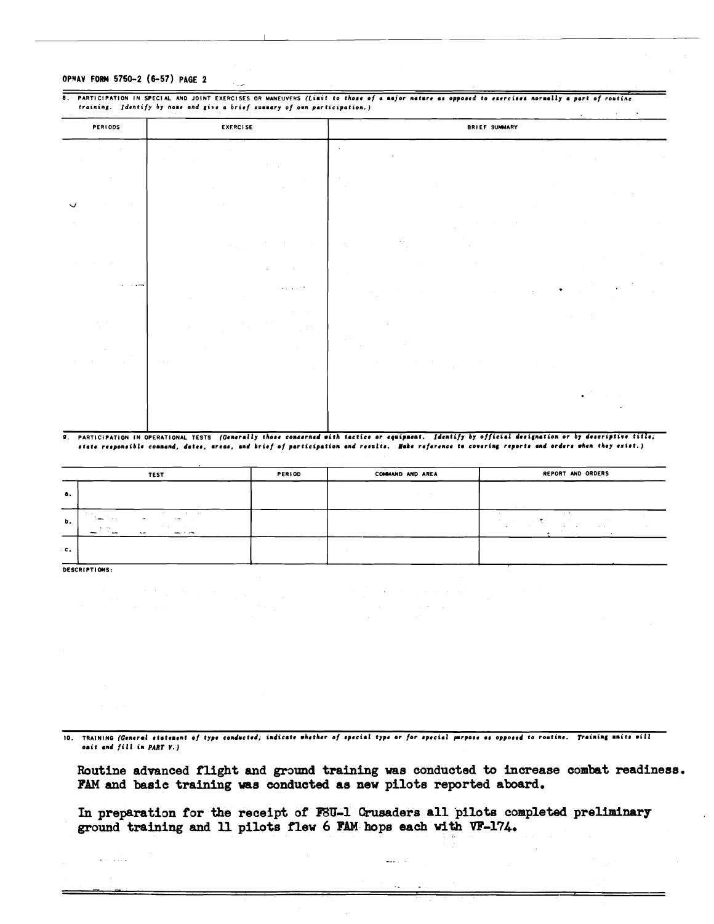#### OPNAV FORM 5750-2 (6-57) PAGE 2

#### $\overline{a}$ PARTICIPATION IN SPECIAL AND JOINT EXERCISES OR MANEUVERS (Limit to those of a major nature as opposed to exercises normally a part of routine training. Identify by name and give a brief summary of own participation.)

| PERIODS                                                                | <b>EXERCISE</b>                                         | <b>BRIEF SUMMARY</b>                                            |
|------------------------------------------------------------------------|---------------------------------------------------------|-----------------------------------------------------------------|
| State Street                                                           | $\sim 10^{11}$ km s $^{-1}$<br>$\sim 10^{-1}$<br>$\sim$ | $\epsilon$<br>$\sim 100$<br>$\sim$<br>$\sim 10^{-11}$<br>$\sim$ |
| $\sim$                                                                 | $\sim$                                                  | $\sim 100$<br>$\sim 100$                                        |
| $\checkmark$<br>$\sim 10^{-11}$<br>$\sim$ 10 $\pm$<br>$\sim$<br>$\sim$ | <b>College</b>                                          | $\sim$                                                          |
|                                                                        | $\mathcal{F}(\mathcal{A})$                              | $\sigma_{\rm 10}$<br>$\sim 10^{-1}$                             |
| $\sim 10^{-1}$                                                         | $\lambda$                                               | $\sim$                                                          |
| <b>All Concerns</b>                                                    | a large car of the                                      | $\bullet$ .<br>٠<br>$\overline{a}$<br>$\sim$                    |
| 大学 2                                                                   | <b>College</b><br>$\sim$                                | -11<br>$\sim$<br>$\sim 10^{-10}$                                |
|                                                                        | <b>Contractor</b><br>$\sim 10^{-1}$                     |                                                                 |
|                                                                        |                                                         |                                                                 |

#### PARTICIPATION IN OPERATIONAL TESTS (Generally those concerned with tactics or equipment. Identify by official designation or by descriptive title; ᡒ atate responsible command, dates, areas, and brief of participation and results. Hake reference to covering reports and orders when they exist..)

|                                | <b>TEST</b>                                                                                                                   | <b>PERIOD</b> | COMMAND AND AREA | REPORT AND ORDERS                                        |
|--------------------------------|-------------------------------------------------------------------------------------------------------------------------------|---------------|------------------|----------------------------------------------------------|
| а.<br><b>Contract Contract</b> | <b>Contract Contract</b>                                                                                                      |               |                  | contract the con-                                        |
| b.                             | $\sim$<br>The County of the<br><b>Service</b><br>$\overline{\phantom{a}}$<br>$\sim$<br>$100 - 100$<br>The County of<br>$\sim$ |               |                  | $\cdots$<br><b>State</b><br><b>1999</b><br>$\sim$ $\sim$ |
| $c_{\star}$                    |                                                                                                                               |               |                  |                                                          |

DESCRIPTIONS.

10. TRAINING (General statement of type conducted; indicate whether of special type or for special purpose as opposed to routine. Training units will omit and fill in PART V.)

Routine advanced flight and ground training was conducted to increase combat readiness. FAM and basic training was conducted as new pilots reported aboard.

الرابعية

In preparation for the receipt of F8U-1 Crusaders all pilots completed preliminary ground training and 11 pilots flew 6 FAM hops each with VF-174.